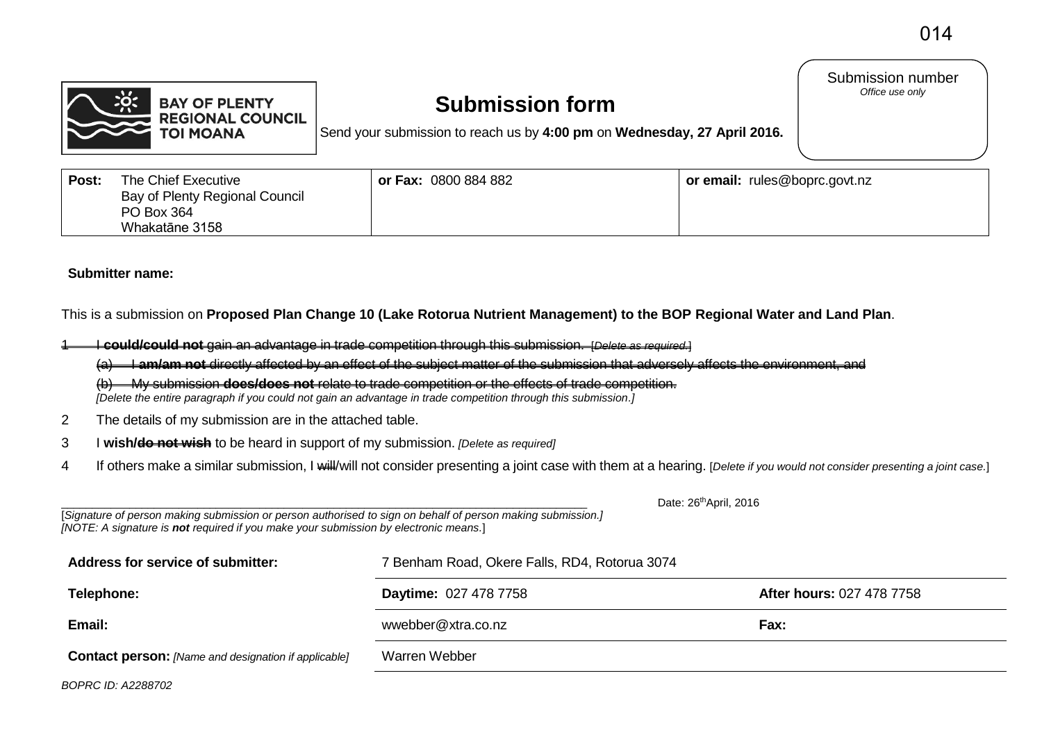Submission number *Office use only* 



#### **Submission form**

Send your submission to reach us by **4:00 pm** on **Wednesday, 27 April 2016.**

| Post: | The Chief Executive<br>Bay of Plenty Regional Council | or Fax: 0800 884 882 | <b>or email:</b> rules@boprc.govt.nz |
|-------|-------------------------------------------------------|----------------------|--------------------------------------|
|       | PO Box 364                                            |                      |                                      |
|       | Whakatāne 3158                                        |                      |                                      |

#### **Submitter name:**

This is a submission on **Proposed Plan Change 10 (Lake Rotorua Nutrient Management) to the BOP Regional Water and Land Plan**.

1 I **could/could not** gain an advantage in trade competition through this submission. [*Delete as required.*]

(a) I **am/am not** directly affected by an effect of the subject matter of the submission that adversely affects the environment, and

(b) My submission **does/does not** relate to trade competition or the effects of trade competition.  *[Delete the entire paragraph if you could not gain an advantage in trade competition through this submission.]*

- 2 The details of my submission are in the attached table.
- 3 I **wish/do not wish** to be heard in support of my submission. *[Delete as required]*
- 4 If others make a similar submission, I will/will not consider presenting a joint case with them at a hearing. [*Delete if you would not consider presenting a joint case.*]

| Date: 26 <sup>th</sup> April, 2016<br>[Signature of person making submission or person authorised to sign on behalf of person making submission.]<br>[NOTE: A signature is not required if you make your submission by electronic means.] |                                               |                                  |  |  |  |  |  |
|-------------------------------------------------------------------------------------------------------------------------------------------------------------------------------------------------------------------------------------------|-----------------------------------------------|----------------------------------|--|--|--|--|--|
| Address for service of submitter:                                                                                                                                                                                                         | 7 Benham Road, Okere Falls, RD4, Rotorua 3074 |                                  |  |  |  |  |  |
| Telephone:                                                                                                                                                                                                                                | <b>Daytime: 027 478 7758</b>                  | <b>After hours: 027 478 7758</b> |  |  |  |  |  |
| Email:                                                                                                                                                                                                                                    | wwebber@xtra.co.nz                            | Fax:                             |  |  |  |  |  |
| <b>Contact person:</b> [Name and designation if applicable]                                                                                                                                                                               | Warren Webber                                 |                                  |  |  |  |  |  |

*BOPRC ID: A2288702*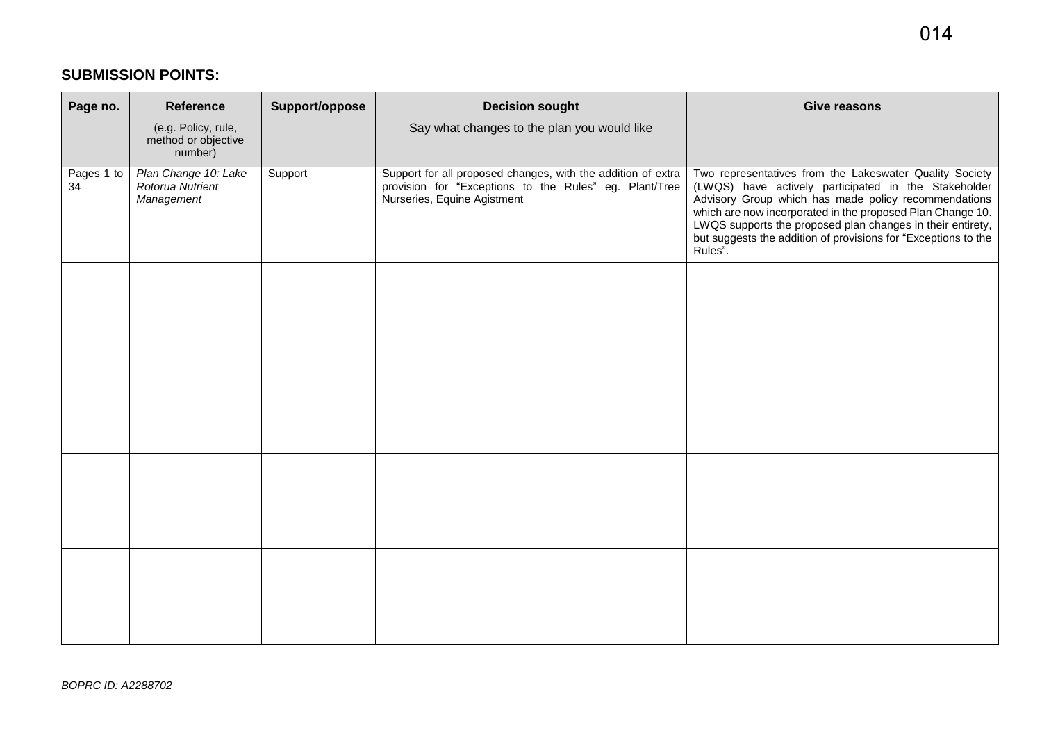#### **SUBMISSION POINTS:**

| Page no.         | <b>Reference</b>                                       | Support/oppose | <b>Decision sought</b>                                                                                                                                | <b>Give reasons</b>                                                                                                                                                                                                                                                                                                                                                              |
|------------------|--------------------------------------------------------|----------------|-------------------------------------------------------------------------------------------------------------------------------------------------------|----------------------------------------------------------------------------------------------------------------------------------------------------------------------------------------------------------------------------------------------------------------------------------------------------------------------------------------------------------------------------------|
|                  | (e.g. Policy, rule,<br>method or objective<br>number)  |                | Say what changes to the plan you would like                                                                                                           |                                                                                                                                                                                                                                                                                                                                                                                  |
| Pages 1 to<br>34 | Plan Change 10: Lake<br>Rotorua Nutrient<br>Management | Support        | Support for all proposed changes, with the addition of extra<br>provision for "Exceptions to the Rules" eg. Plant/Tree<br>Nurseries, Equine Agistment | Two representatives from the Lakeswater Quality Society<br>(LWQS) have actively participated in the Stakeholder<br>Advisory Group which has made policy recommendations<br>which are now incorporated in the proposed Plan Change 10.<br>LWQS supports the proposed plan changes in their entirety,<br>but suggests the addition of provisions for "Exceptions to the<br>Rules". |
|                  |                                                        |                |                                                                                                                                                       |                                                                                                                                                                                                                                                                                                                                                                                  |
|                  |                                                        |                |                                                                                                                                                       |                                                                                                                                                                                                                                                                                                                                                                                  |
|                  |                                                        |                |                                                                                                                                                       |                                                                                                                                                                                                                                                                                                                                                                                  |
|                  |                                                        |                |                                                                                                                                                       |                                                                                                                                                                                                                                                                                                                                                                                  |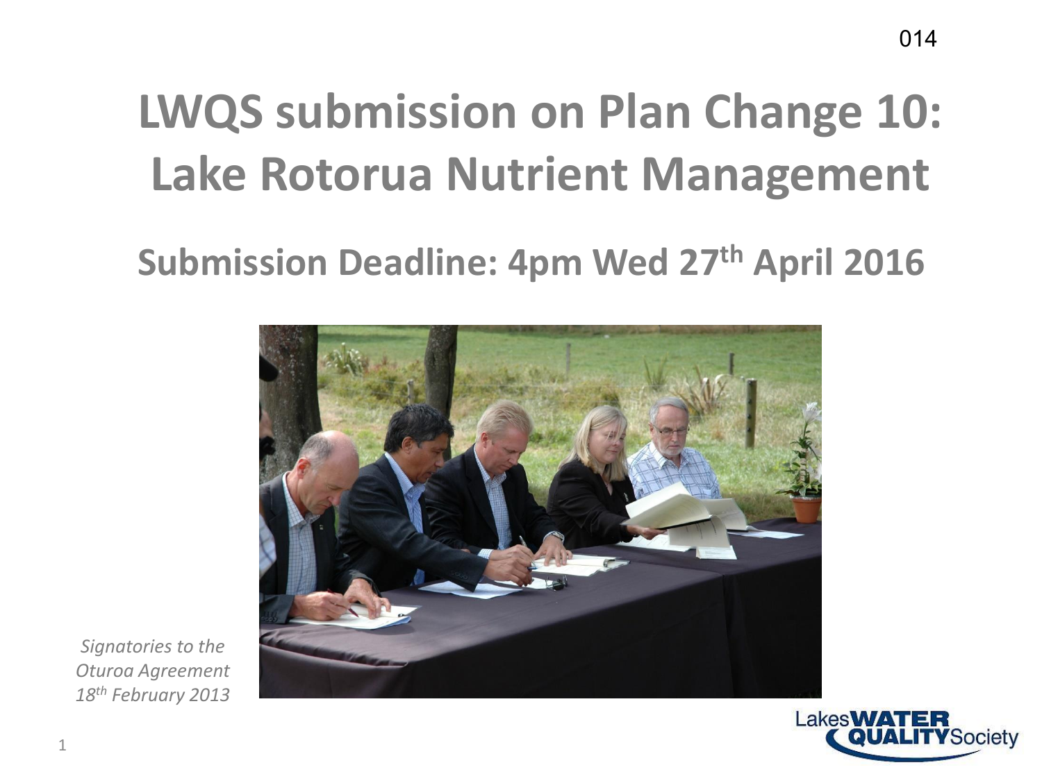#### **LWQS submission on Plan Change 10: Lake Rotorua Nutrient Management**

#### **Submission Deadline: 4pm Wed 27th April 2016**



*Signatories to the Oturoa Agreement 18th February 2013*

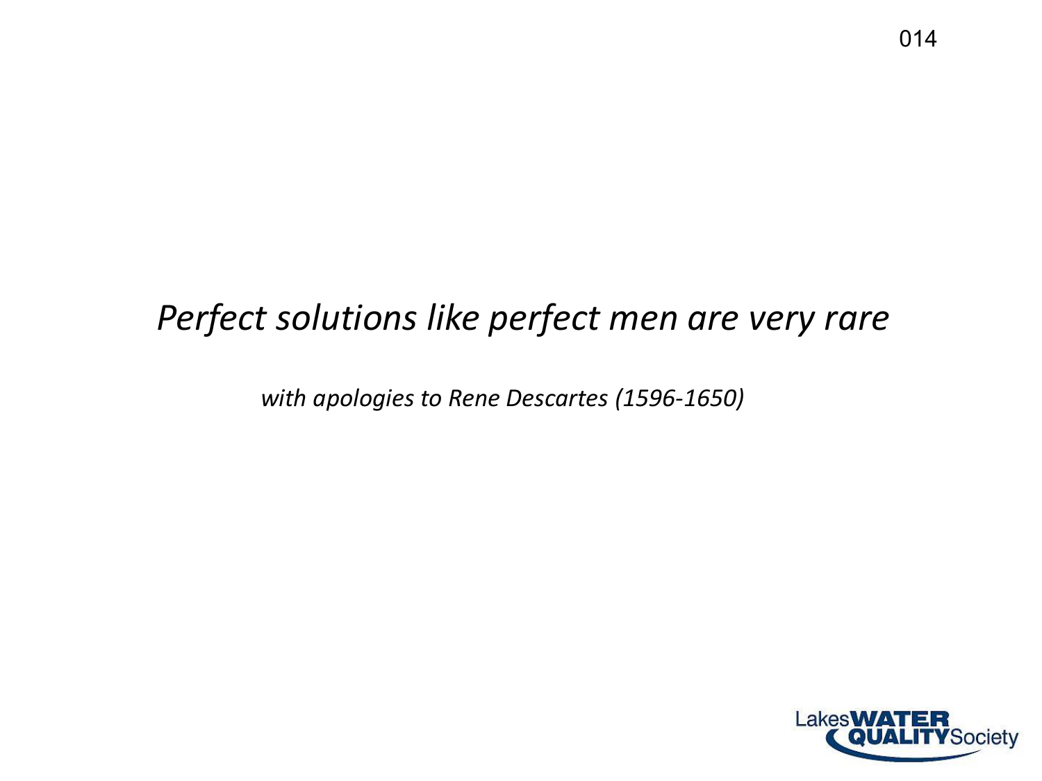#### *Perfect solutions like perfect men are very rare*

*with apologies to Rene Descartes (1596-1650)*

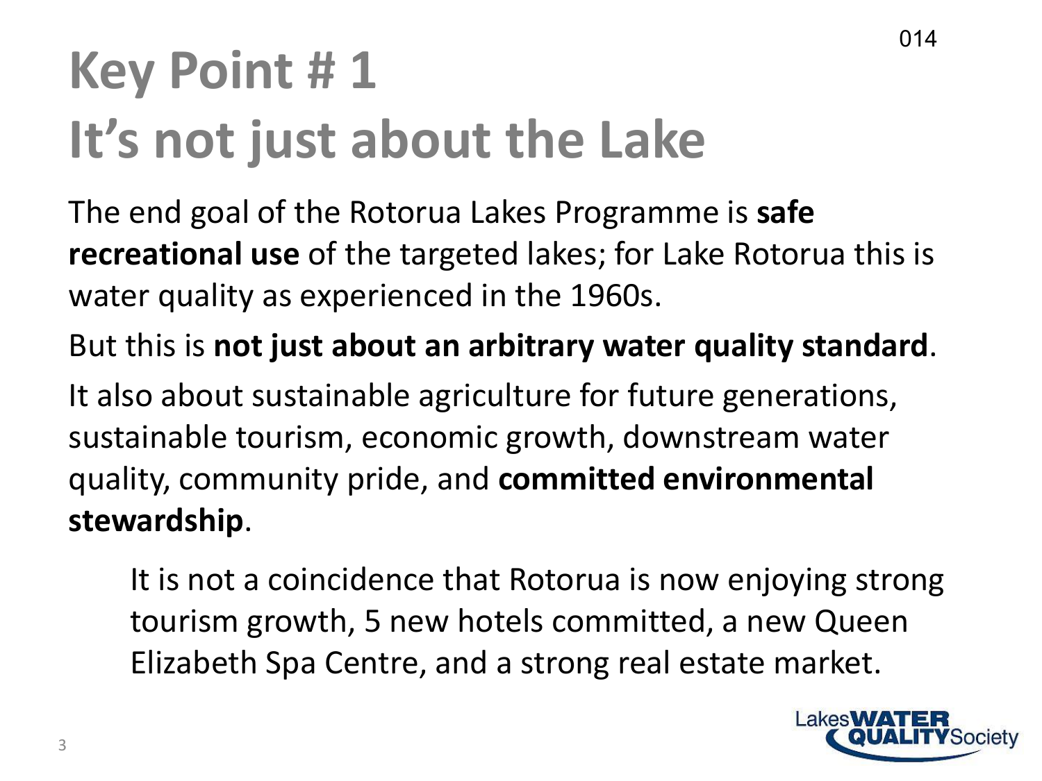# **Key Point # 1 It's not just about the Lake**

The end goal of the Rotorua Lakes Programme is **safe recreational use** of the targeted lakes; for Lake Rotorua this is water quality as experienced in the 1960s.

But this is **not just about an arbitrary water quality standard**.

It also about sustainable agriculture for future generations, sustainable tourism, economic growth, downstream water quality, community pride, and **committed environmental stewardship**.

It is not a coincidence that Rotorua is now enjoying strong tourism growth, 5 new hotels committed, a new Queen Elizabeth Spa Centre, and a strong real estate market.

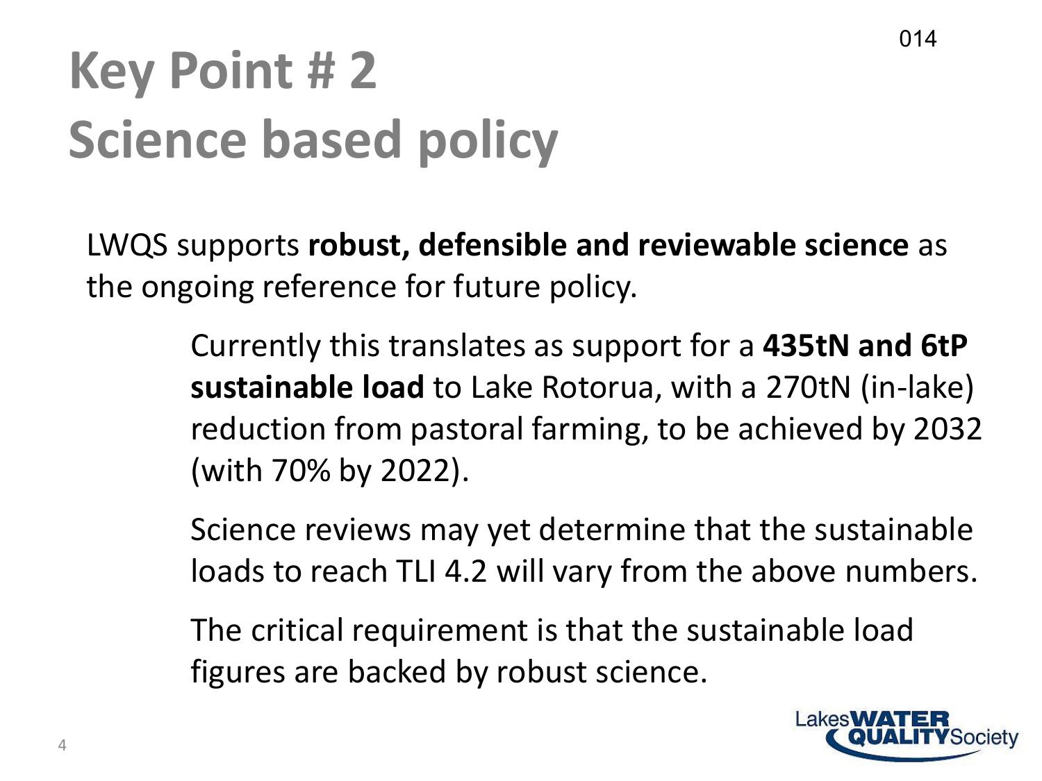# **Key Point # 2 Science based policy**

LWQS supports **robust, defensible and reviewable science** as the ongoing reference for future policy.

> Currently this translates as support for a **435tN and 6tP sustainable load** to Lake Rotorua, with a 270tN (in-lake) reduction from pastoral farming, to be achieved by 2032 (with 70% by 2022).

> Science reviews may yet determine that the sustainable loads to reach TLI 4.2 will vary from the above numbers.

The critical requirement is that the sustainable load figures are backed by robust science.

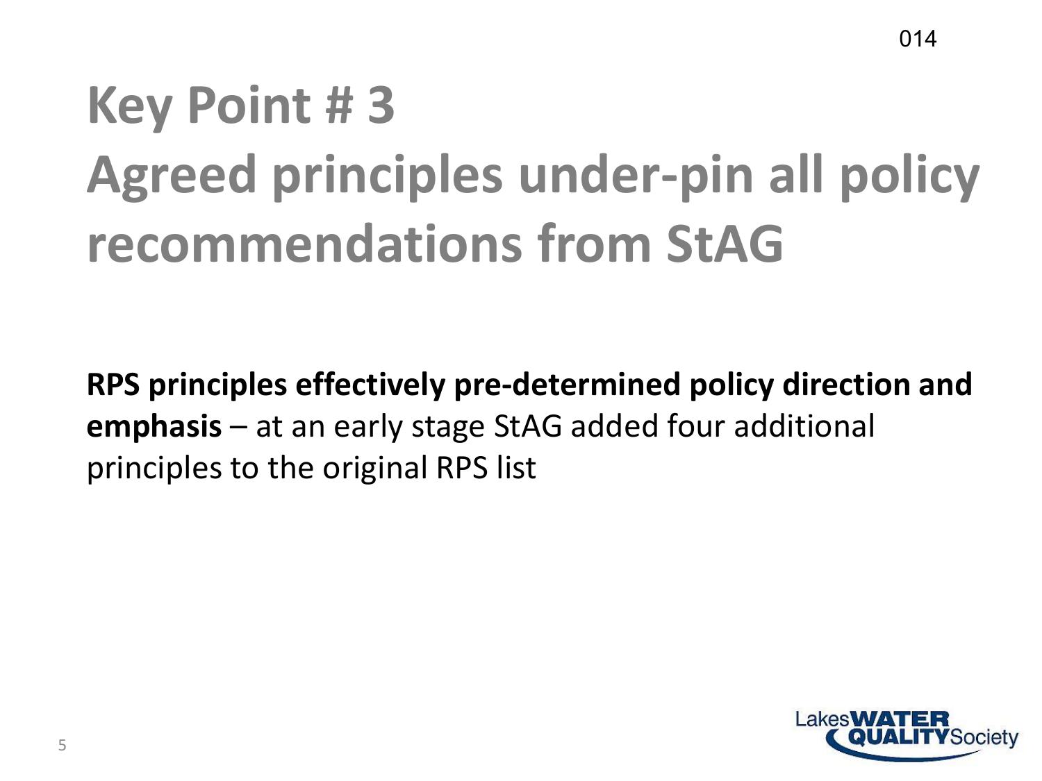## **Key Point # 3 Agreed principles under-pin all policy recommendations from StAG**

**RPS principles effectively pre-determined policy direction and emphasis** – at an early stage StAG added four additional principles to the original RPS list

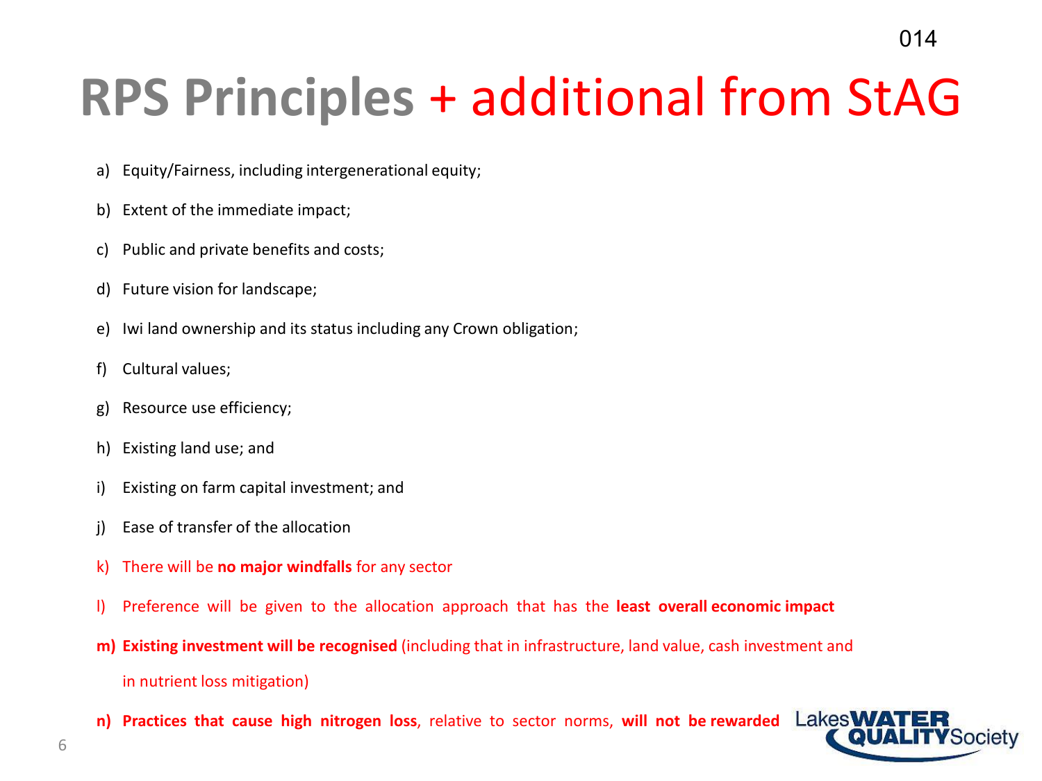### **RPS Principles** + additional from StAG

- a) Equity/Fairness, including intergenerational equity;
- b) Extent of the immediate impact;
- c) Public and private benefits and costs;
- d) Future vision for landscape;
- e) Iwi land ownership and its status including any Crown obligation;
- f) Cultural values;
- g) Resource use efficiency;
- h) Existing land use; and
- i) Existing on farm capital investment; and
- j) Ease of transfer of the allocation
- k) There will be **no major windfalls** for any sector
- l) Preference will be given to the allocation approach that has the **least overall economic impact**
- **m) Existing investment will be recognised** (including that in infrastructure, land value, cash investment and in nutrient loss mitigation)
- **n) Practices that cause high nitrogen loss**, relative to sector norms, **will not be rewarded**

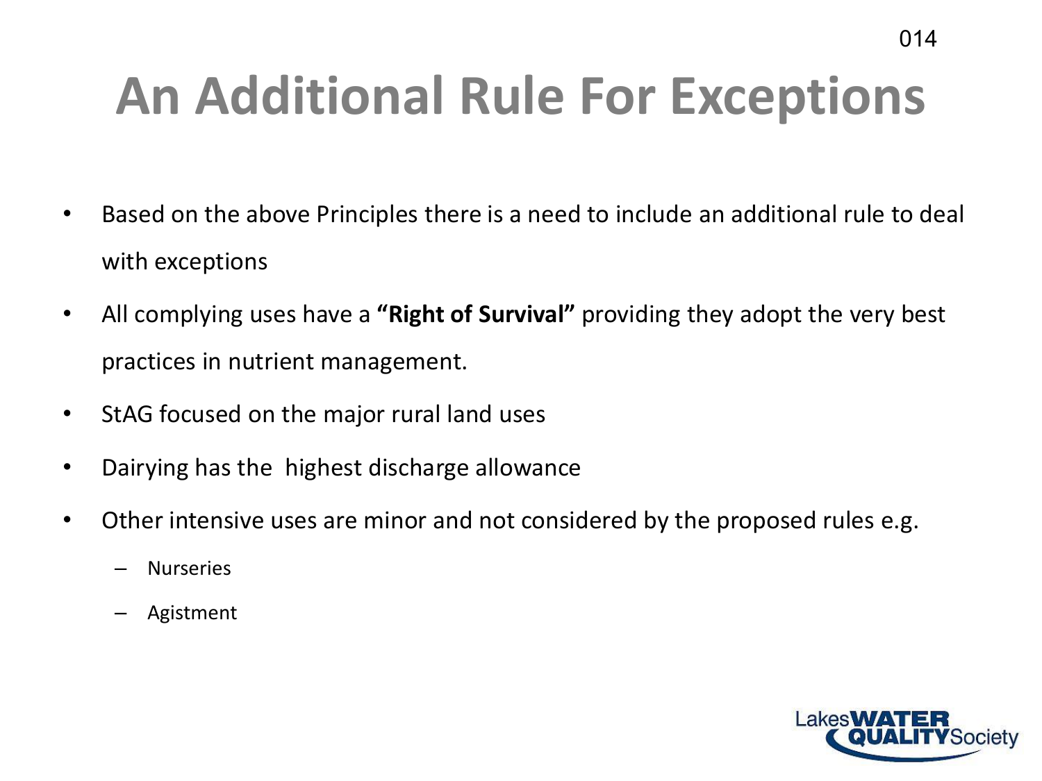# **An Additional Rule For Exceptions**

- Based on the above Principles there is a need to include an additional rule to deal with exceptions
- All complying uses have a **"Right of Survival"** providing they adopt the very best practices in nutrient management.
- StAG focused on the major rural land uses
- Dairying has the highest discharge allowance
- Other intensive uses are minor and not considered by the proposed rules e.g.
	- **Nurseries**
	- Agistment

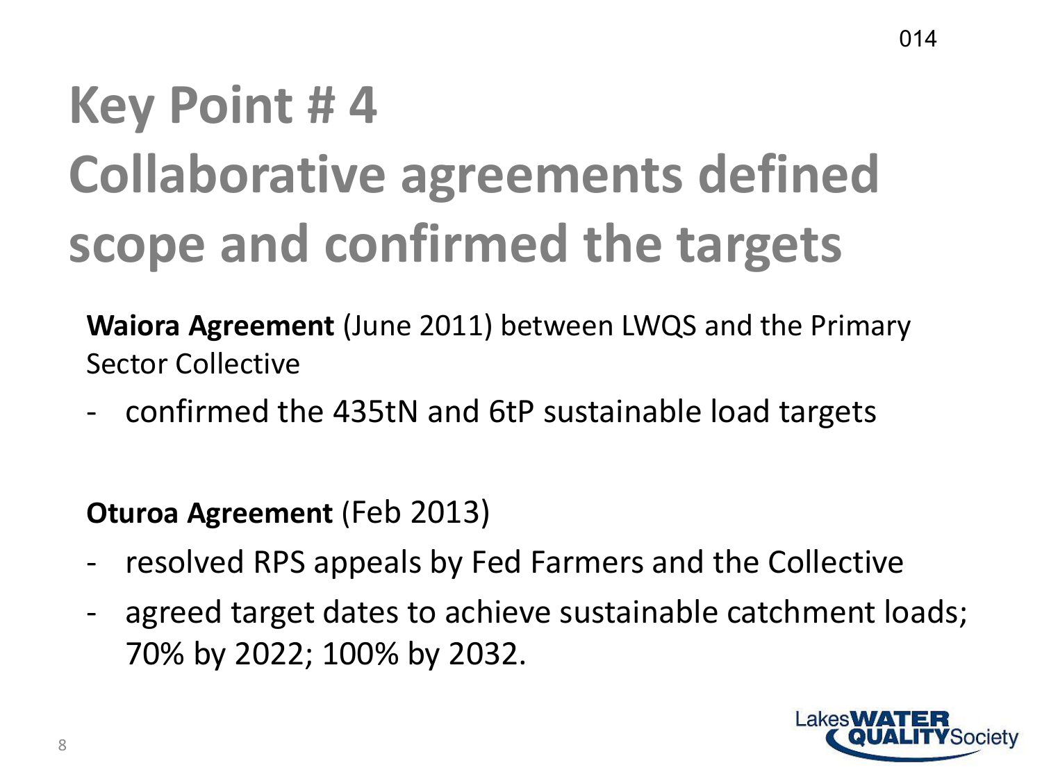## **Key Point # 4 Collaborative agreements defined scope and confirmed the targets**

**Waiora Agreement** (June 2011) between LWQS and the Primary Sector Collective

- confirmed the 435tN and 6tP sustainable load targets

**Oturoa Agreement** (Feb 2013)

- resolved RPS appeals by Fed Farmers and the Collective
- agreed target dates to achieve sustainable catchment loads; 70% by 2022; 100% by 2032.

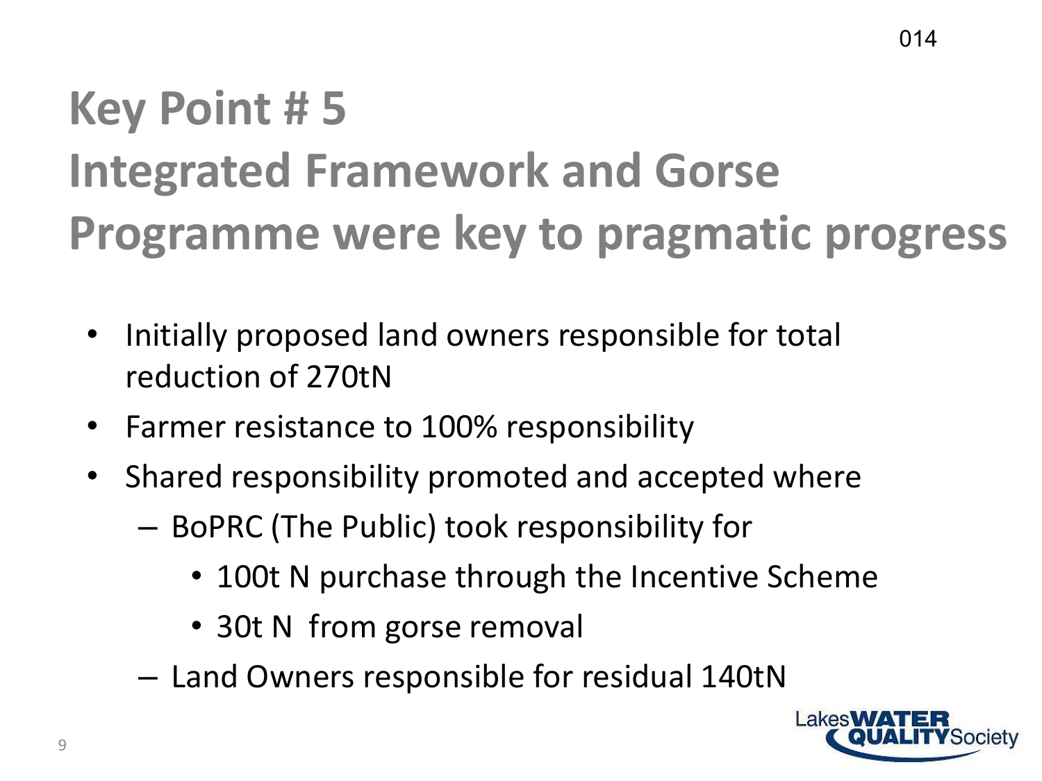#### **Key Point # 5 Integrated Framework and Gorse Programme were key to pragmatic progress**

- Initially proposed land owners responsible for total reduction of 270tN
- Farmer resistance to 100% responsibility
- Shared responsibility promoted and accepted where
	- BoPRC (The Public) took responsibility for
		- 100t N purchase through the Incentive Scheme
		- 30t N from gorse removal
	- Land Owners responsible for residual 140tN

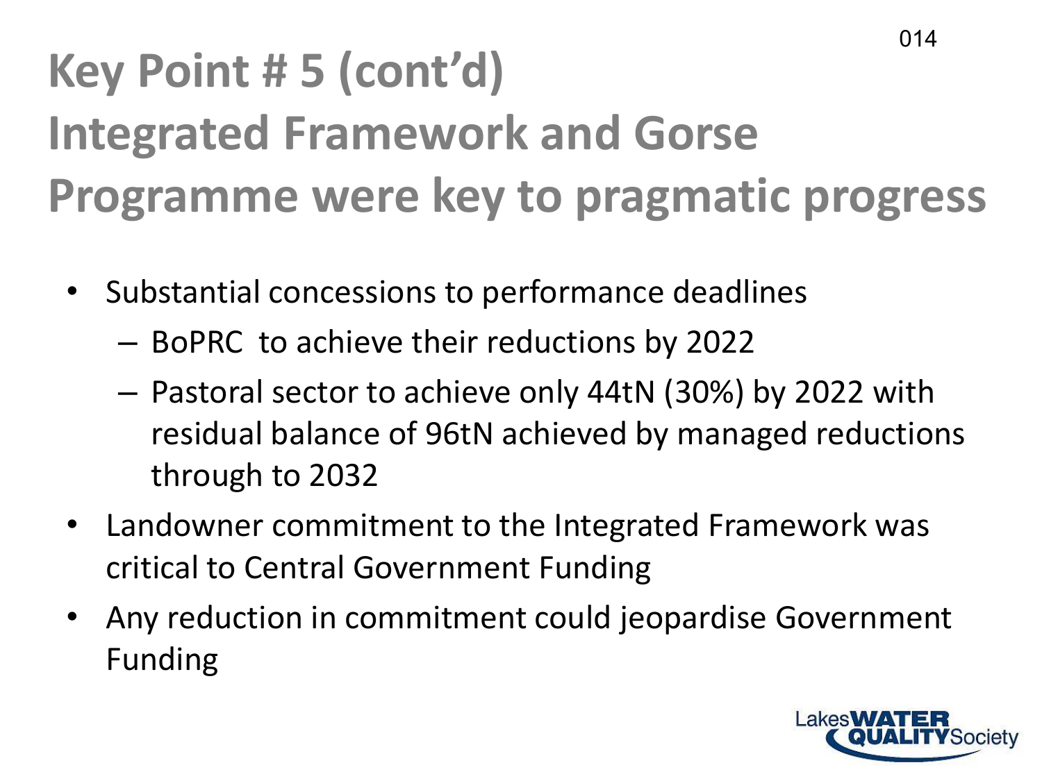#### **Key Point # 5 (cont'd) Integrated Framework and Gorse Programme were key to pragmatic progress** 014

- Substantial concessions to performance deadlines
	- BoPRC to achieve their reductions by 2022
	- Pastoral sector to achieve only 44tN (30%) by 2022 with residual balance of 96tN achieved by managed reductions through to 2032
- Landowner commitment to the Integrated Framework was critical to Central Government Funding
- Any reduction in commitment could jeopardise Government Funding

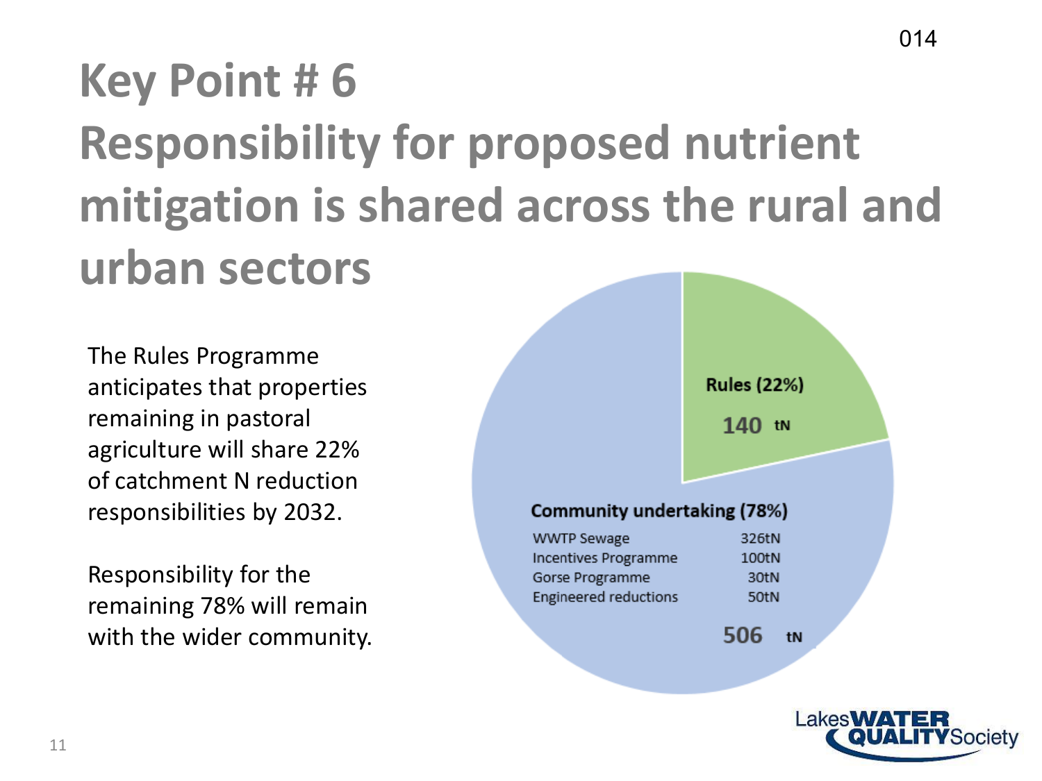### **Key Point # 6 Responsibility for proposed nutrient mitigation is shared across the rural and urban sectors**

The Rules Programme anticipates that properties remaining in pastoral agriculture will share 22% of catchment N reduction responsibilities by 2032.

Responsibility for the remaining 78% will remain with the wider community.



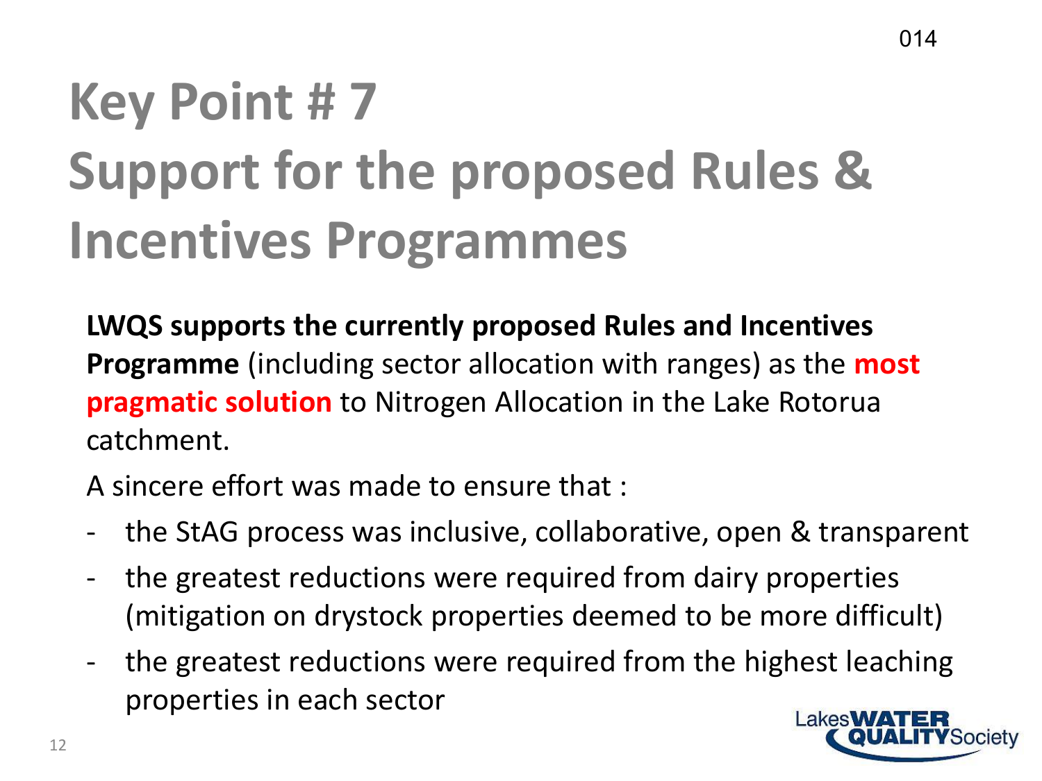# **Key Point # 7 Support for the proposed Rules & Incentives Programmes**

**LWQS supports the currently proposed Rules and Incentives Programme** (including sector allocation with ranges) as the **most pragmatic solution** to Nitrogen Allocation in the Lake Rotorua catchment.

A sincere effort was made to ensure that :

- the StAG process was inclusive, collaborative, open & transparent
- the greatest reductions were required from dairy properties (mitigation on drystock properties deemed to be more difficult)
- the greatest reductions were required from the highest leaching properties in each sector

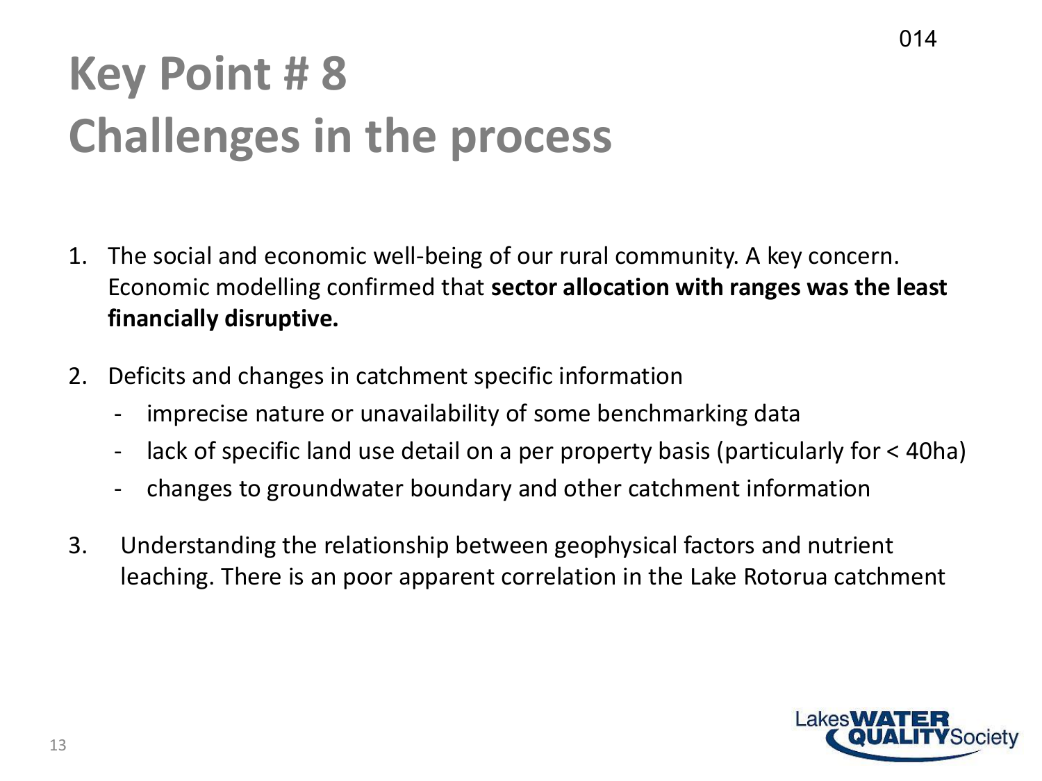#### **Key Point # 8 Challenges in the process**

- 1. The social and economic well-being of our rural community. A key concern. Economic modelling confirmed that **sector allocation with ranges was the least financially disruptive.**
- 2. Deficits and changes in catchment specific information
	- imprecise nature or unavailability of some benchmarking data
	- lack of specific land use detail on a per property basis (particularly for < 40ha)
	- changes to groundwater boundary and other catchment information
- 3. Understanding the relationship between geophysical factors and nutrient leaching. There is an poor apparent correlation in the Lake Rotorua catchment

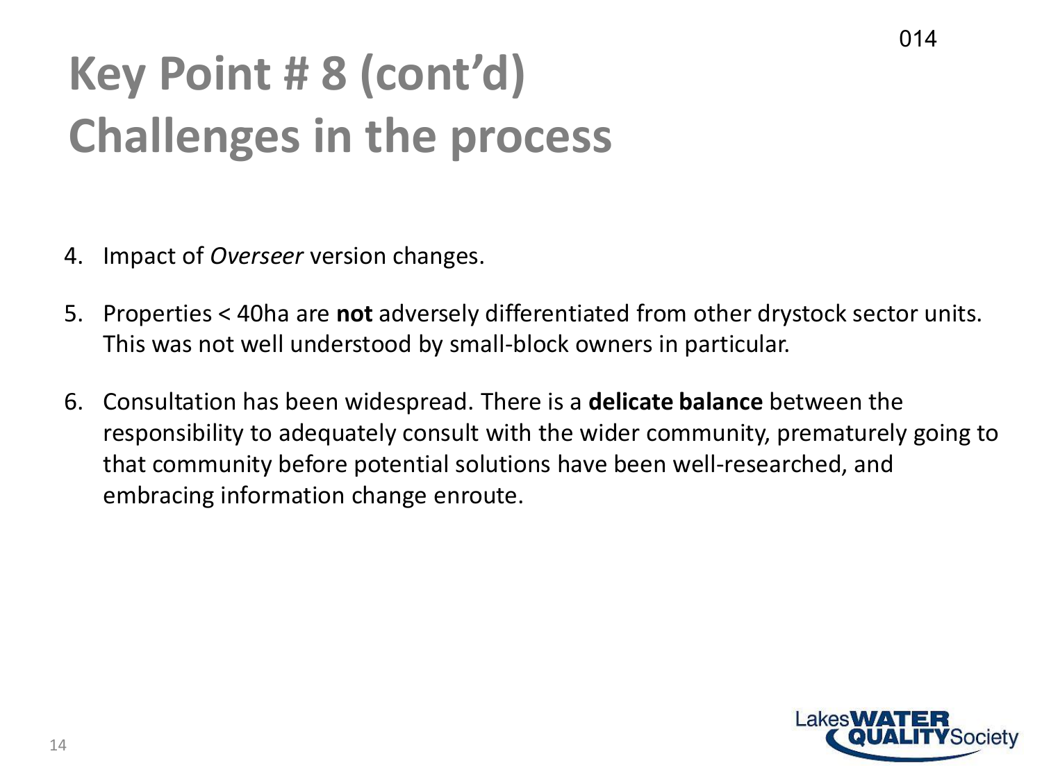#### **Key Point # 8 (cont'd) Challenges in the process**

- 4. Impact of *Overseer* version changes.
- 5. Properties < 40ha are **not** adversely differentiated from other drystock sector units. This was not well understood by small-block owners in particular.
- 6. Consultation has been widespread. There is a **delicate balance** between the responsibility to adequately consult with the wider community, prematurely going to that community before potential solutions have been well-researched, and embracing information change enroute.

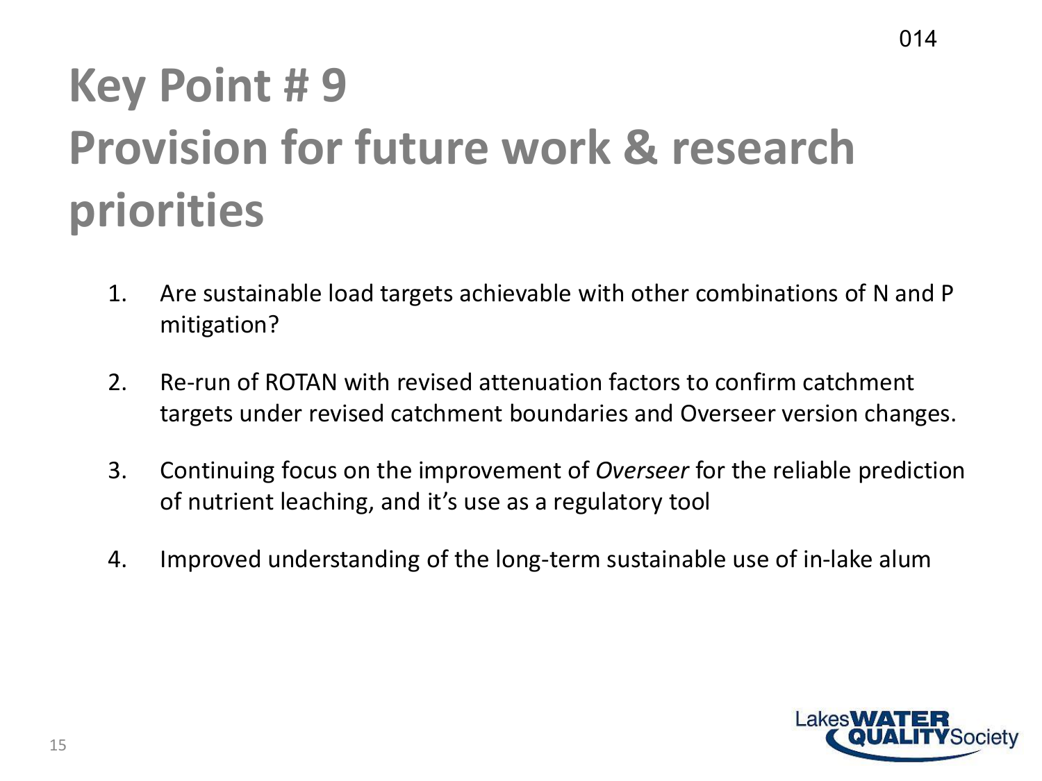### **Key Point # 9 Provision for future work & research priorities**

- 1. Are sustainable load targets achievable with other combinations of N and P mitigation?
- 2. Re-run of ROTAN with revised attenuation factors to confirm catchment targets under revised catchment boundaries and Overseer version changes.
- 3. Continuing focus on the improvement of *Overseer* for the reliable prediction of nutrient leaching, and it's use as a regulatory tool
- 4. Improved understanding of the long-term sustainable use of in-lake alum